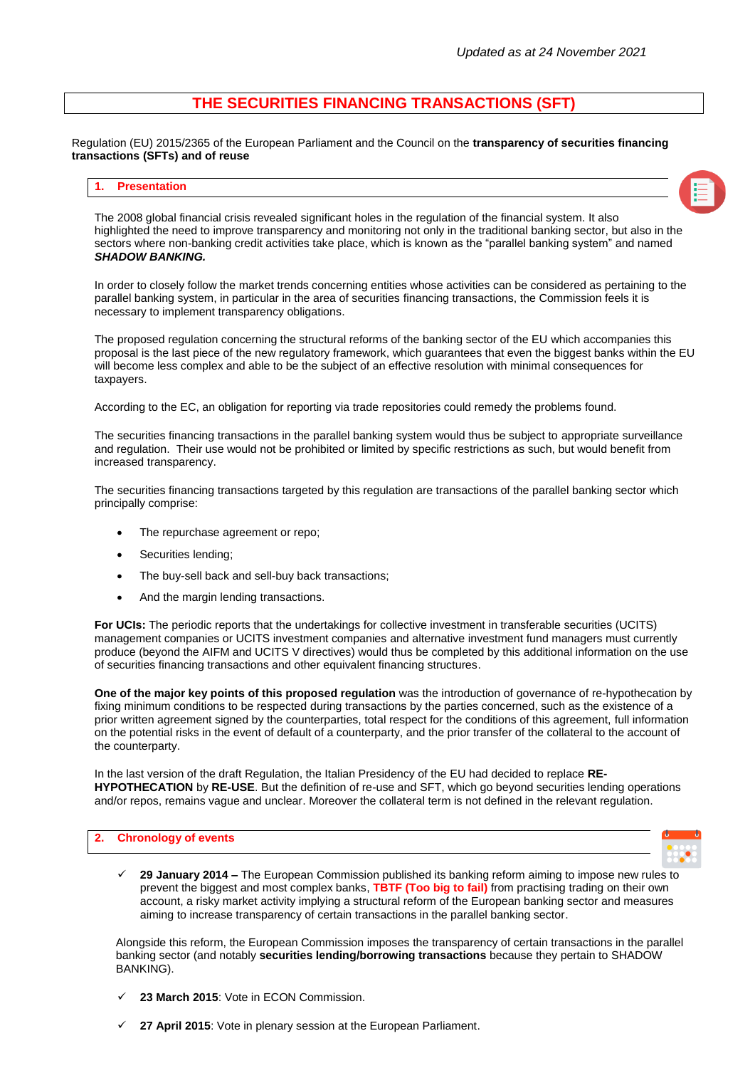# **THE SECURITIES FINANCING TRANSACTIONS (SFT)**

Regulation (EU) 2015/2365 of the European Parliament and the Council on the **transparency of securities financing transactions (SFTs) and of reuse**

#### **1. Presentation**



The 2008 global financial crisis revealed significant holes in the regulation of the financial system. It also highlighted the need to improve transparency and monitoring not only in the traditional banking sector, but also in the sectors where non-banking credit activities take place, which is known as the "parallel banking system" and named *SHADOW BANKING.*

In order to closely follow the market trends concerning entities whose activities can be considered as pertaining to the parallel banking system, in particular in the area of securities financing transactions, the Commission feels it is necessary to implement transparency obligations.

The proposed regulation concerning the structural reforms of the banking sector of the EU which accompanies this proposal is the last piece of the new regulatory framework, which guarantees that even the biggest banks within the EU will become less complex and able to be the subject of an effective resolution with minimal consequences for taxpayers.

According to the EC, an obligation for reporting via trade repositories could remedy the problems found.

The securities financing transactions in the parallel banking system would thus be subject to appropriate surveillance and regulation. Their use would not be prohibited or limited by specific restrictions as such, but would benefit from increased transparency.

The securities financing transactions targeted by this regulation are transactions of the parallel banking sector which principally comprise:

- The repurchase agreement or repo;
- Securities lending;
- The buy-sell back and sell-buy back transactions;
- And the margin lending transactions.

**For UCIs:** The periodic reports that the undertakings for collective investment in transferable securities (UCITS) management companies or UCITS investment companies and alternative investment fund managers must currently produce (beyond the AIFM and UCITS V directives) would thus be completed by this additional information on the use of securities financing transactions and other equivalent financing structures.

**One of the major key points of this proposed regulation** was the introduction of governance of re-hypothecation by fixing minimum conditions to be respected during transactions by the parties concerned, such as the existence of a prior written agreement signed by the counterparties, total respect for the conditions of this agreement, full information on the potential risks in the event of default of a counterparty, and the prior transfer of the collateral to the account of the counterparty.

In the last version of the draft Regulation, the Italian Presidency of the EU had decided to replace **RE-HYPOTHECATION** by **RE-USE**. But the definition of re-use and SFT, which go beyond securities lending operations and/or repos, remains vague and unclear. Moreover the collateral term is not defined in the relevant regulation.

#### **2. Chronology of events**



 **29 January 2014 –** The European Commission published its banking reform aiming to impose new rules to prevent the biggest and most complex banks, **TBTF (Too big to fail)** from practising trading on their own account, a risky market activity implying a structural reform of the European banking sector and measures aiming to increase transparency of certain transactions in the parallel banking sector.

Alongside this reform, the European Commission imposes the transparency of certain transactions in the parallel banking sector (and notably **securities lending/borrowing transactions** because they pertain to SHADOW BANKING).

- **23 March 2015**: Vote in ECON Commission.
- **27 April 2015**: Vote in plenary session at the European Parliament.